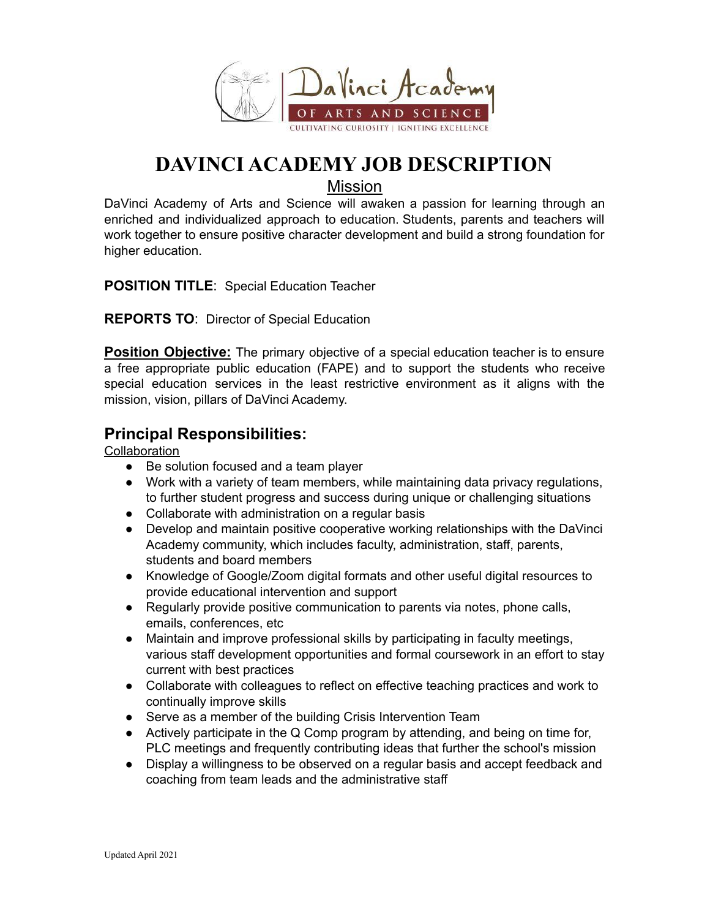

# **DAVINCI ACADEMY JOB DESCRIPTION**

Mission

DaVinci Academy of Arts and Science will awaken a passion for learning through an enriched and individualized approach to education. Students, parents and teachers will work together to ensure positive character development and build a strong foundation for higher education.

**POSITION TITLE**: Special Education Teacher

**REPORTS TO**: Director of Special Education

**Position Objective:** The primary objective of a special education teacher is to ensure a free appropriate public education (FAPE) and to support the students who receive special education services in the least restrictive environment as it aligns with the mission, vision, pillars of DaVinci Academy.

## **Principal Responsibilities:**

#### **Collaboration**

- Be solution focused and a team player
- Work with a variety of team members, while maintaining data privacy regulations, to further student progress and success during unique or challenging situations
- Collaborate with administration on a regular basis
- Develop and maintain positive cooperative working relationships with the DaVinci Academy community, which includes faculty, administration, staff, parents, students and board members
- Knowledge of Google/Zoom digital formats and other useful digital resources to provide educational intervention and support
- Regularly provide positive communication to parents via notes, phone calls, emails, conferences, etc
- Maintain and improve professional skills by participating in faculty meetings, various staff development opportunities and formal coursework in an effort to stay current with best practices
- Collaborate with colleagues to reflect on effective teaching practices and work to continually improve skills
- Serve as a member of the building Crisis Intervention Team
- Actively participate in the Q Comp program by attending, and being on time for, PLC meetings and frequently contributing ideas that further the school's mission
- Display a willingness to be observed on a regular basis and accept feedback and coaching from team leads and the administrative staff